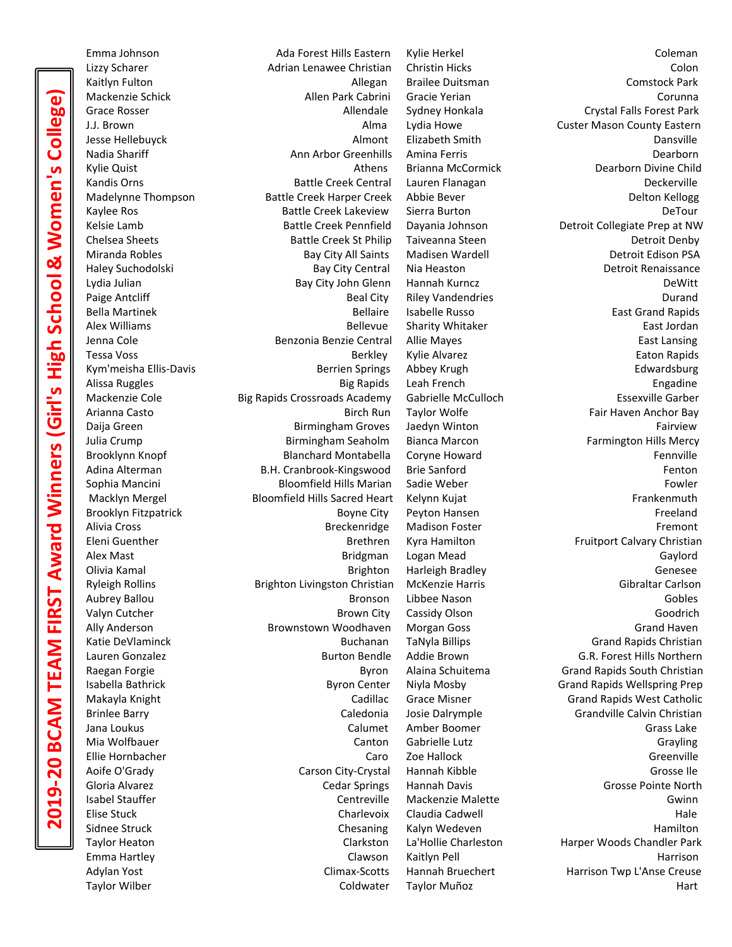Emma Johnson Ada Forest Hills Eastern Kylie Herkel Coleman Lizzy Scharer Adrian Lenawee Christian Christin Hicks Colon Kaitlyn Fulton Allegan Brailee Duitsman Comstock Park Mackenzie Schick Allen Park Cabrini Gracie Yerian Corunna Grace Rosser **Allendale Sydney Honkala** Crystal Falls Forest Park Crystal Falls Forest Park J.J. Brown Alma Lydia Howe Custer Mason County Eastern Jesse Hellebuyck Almont Elizabeth Smith Dansville Nadia Shariff **Ann Arbor Greenhills Amina Ferris** Ann Arbor Greenhills Amina Ferris **Announce Accommon Accommon Accommon** Kylie Quist Athens Brianna McCormick Dearborn Divine Child Kandis Orns **Battle Creek Central** Lauren Flanagan **Battle Creek Central** Lauren Flanagan Deckerville Madelynne Thompson Battle Creek Harper Creek Abbie Bever Number 2014 Belton Kellogg Kaylee Ros **Battle Creek Lakeview** Sierra Burton Burton Burton DeTour Kelsie Lamb **Battle Creek Pennfield** Dayania Johnson Detroit Collegiate Prep at NW Chelsea Sheets Battle Creek St Philip Taiveanna Steen Detroit Denby Miranda Robles **Bay City All Saints Madisen Wardell** Detroit Edison PSA Haley Suchodolski Bay City Central Nia Heaston Detroit Renaissance Lydia Julian Bay City John Glenn Hannah Kurncz DeWitt Paige Antcliff **Beal City** Riley Vandendries **Beal City** Riley Vandendries **Durand** Bella Martinek **Bellaire Isabelle Russo** Bellaire Isabelle Russo **East Grand Rapids** Alex Williams Bellevue Sharity Whitaker East Jordan Jenna Cole Benzonia Benzie Central Allie Mayes East Lansing Tessa Voss Berkley Kylie Alvarez Eaton Rapids Kym'meisha Ellis-Davis **Berrien Springs Abbey Krugh** Edwardsburg Edwardsburg Berrien Springs Abbey Krugh Edwardsburg Alissa Ruggles Big Rapids Leah French Engadine Mackenzie Cole Big Rapids Crossroads Academy Gabrielle McCulloch Essexville Garber Arianna Casto **Birch Run Taylor Wolfe Fair Haven Anchor Bay** Fair Haven Anchor Bay Daija Green **Birmingham Groves** Jaedyn Winton **Fairview** Fairview Julia Crump **Birmingham Seaholm** Bianca Marcon Farmington Hills Mercy **Birmington Hills Mercy** Brooklynn Knopf **Blanchard Montabella** Coryne Howard **Fennyille** Fennville Adina Alterman **B.H. Cranbrook-Kingswood** Brie Sanford Fenton **Fenton** Sophia Mancini a new states and Bloomfield Hills Marian Sadie Weber Fowler Fowler Macklyn Mergel **Example Bloomfield Hills Sacred Heart** Kelynn Kujat Frankenmuth Frankenmuth Brooklyn Fitzpatrick **Boyne City** Peyton Hansen **Boyne City** Peyton Hansen **Ficeland** Alivia Cross **Breckenridge Madison Foster** Fremont **Fremont** Eleni Guenther **Brethren** Kyra Hamilton **Fruitport Calvary Christian** Brethren Kyra Hamilton Alex Mast Bridgman Logan Mead Gaylord Olivia Kamal Genesee Controller Controller Brighton Harleigh Bradley Controller Genesee Ryleigh Rollins **Brighton Livingston Christian McKenzie Harris** Collection Carlson Gibraltar Carlson Aubrey Ballou Bronson Libbee Nason Gobles Valyn Cutcher Brown City Cassidy Olson Goodrich Ally Anderson **Brownstown Woodhaven** Morgan Goss Grand Haven Grand Haven Katie DeVlaminck **Buchanan Tanyla Billips** Grand Rapids Christian Grand Rapids Christian Lauren Gonzalez Burton Bendle Addie Brown G.R. Forest Hills Northern Raegan Forgie **Byron Alaina Schuitema** Grand Rapids South Christian Christian Isabella Bathrick Byron Center Niyla Mosby Grand Rapids Wellspring Prep Makayla Knight Cadillac Grace Misner Grand Rapids West Catholic Brinlee Barry **Caledonia** Caledonia Josie Dalrymple Grandville Calvin Christian Jana Loukus Calumet Amber Boomer Calumet Amber Boomer Calumet Calumet Amber Boomer Calumet Calumet Calumet Calumet Calumet Calumet Calumet Calumet Calumet Calumet Calumet Calumet Calumet Calumet Calumet Calumet Calumet Cal Mia Wolfbauer Canton Gabrielle Lutz Grayling Ellie Hornbacher Caro Zoe Hallock Greenville Aoife O'Grady **Carson City-Crystal** Hannah Kibble Grosse Ile Grosse Ile Gloria Alvarez **Cedar Springs Hannah Davis** Grosse Pointe North North Grosse Pointe North Isabel Stauffer Centreville Mackenzie Malette Gwinn Elise Stuck Charlevoix Claudia Cadwell Hale Sidnee Struck Chesaning Kalyn Wedeven Chesaning Chesaning Chesaning Chesaning Kalyn Wedeven Taylor Heaton Clarkston La'Hollie Charleston Harper Woods Chandler Park Emma Hartley Clawson Kaitlyn Pell Harrison Adylan Yost **Climax-Scotts** Hannah Bruechert Harrison Twp L'Anse Creuse Harrison Twp L'Anse Creuse Taylor Wilber **Coldwater Taylor Muñoz** Hart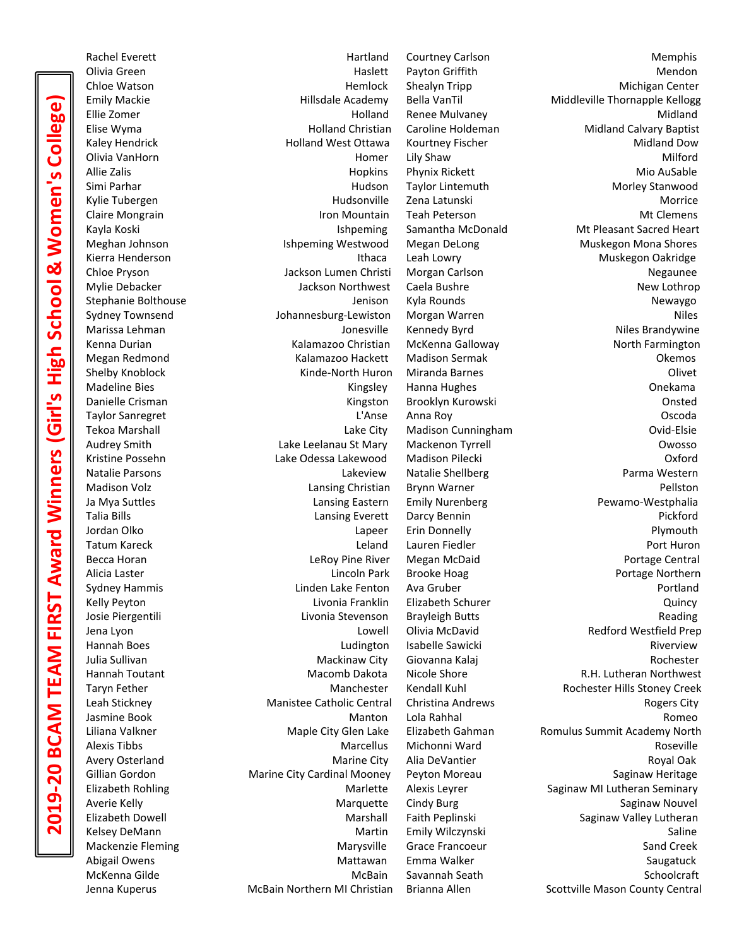Rachel Everett **Memphis Hartland Courtney Carlson** Memphis Olivia Green **Mendon Mendon** Haslett Payton Griffith Mendon **Mendon** Chloe Watson **Michigan Center** Hemlock Shealyn Tripp **Michigan Center** Michigan Center Emily Mackie **Emily Mackie Emily Mackie Academy** Bella VanTil Middleville Thornapple Kellogg Ellie Zomer Holland Renee Mulvaney Midland Elise Wyma Holland Christian Caroline Holdeman Midland Calvary Baptist Kaley Hendrick **Michland Holland West Ottawa** Kourtney Fischer Midland Down Midland Dow Olivia VanHorn Homer Lily Shaw Milford Allie Zalis **Microsoft Community Community Community** Hopkins Phynix Rickett Microsoft Mio AuSable Simi Parhar Hudson Taylor Lintemuth Morley Stanwood Kylie Tubergen Tubergen Hudsonville Zena Latunski Kylie Tubergen Morrice Claire Mongrain **Iron Mountain Teah Peterson** Muslemens Mt Clemens Kayla Koski **Ishpeming** Samantha McDonald Mt Pleasant Sacred Heart Meghan Johnson **Ishpeming Westwood** Megan DeLong Muskegon Mona Shores Kierra Henderson **Ithaca** Leah Lowry **Communist Communist Communist Communist Communist Communist Communist Communist Communist Communist Communist Communist Communist Communist Communist Communist Communist Communist Comm** Chloe Pryson **Negaunee** Jackson Lumen Christi Morgan Carlson **Negaunee** Negaunee Mylie Debacker **New Lothrop Caela Bushre New Lothrop New Lothrop** New Lothrop New Lothrop Stephanie Bolthouse and the Stephanie Bolthouse and the Stephanie Bolthouse and the Stephanie Bolthouse and Newaygo Sydney Townsend The Subsetter Johannesburg-Lewiston Morgan Warren Niles Niles Marissa Lehman **Marissa Lehman** Jonesville Kennedy Byrd **Niles Brandywine** Kenna Durian Kalamazoo Christian McKenna Galloway North Farmington Megan Redmond **Kalamazoo Hackett** Madison Sermak Madison Serman Megan Redmond Okemos Shelby Knoblock **Kinde-North Huron Miranda Barnes** Missense Clivet Madeline Bies **Madeline Bies** Checkama Kingsley Hanna Hughes **Madeline Bies** Onekama Danielle Crisman **National Communist Communist Communist Communist Communist Communist Communist Communist Communist Communist Communist Communist Communist Communist Communist Communist Communist Communist Communist Commu** Taylor Sanregret L'Anse Anna Roy Oscoda Tekoa Marshall Lake City Madison Cunningham Ovid-Elsie Audrey Smith **Call Communist Communist Communist Communist Communist Communist Communist Communist Communist Communist Communist Communist Communist Communist Communist Communist Communist Communist Communist Communist Com** Kristine Possehn Lake Odessa Lakewood Madison Pilecki Oxford Natalie Parsons Lakeview Natalie Shellberg Parma Western Madison Volz **Christian Brynn Warner Christian** Brynn Warner Pellston Pellston Ja Mya Suttles **Lansing Eastern** Emily Nurenberg **Pewamo-Westphalia** Pewamo-Westphalia Talia Bills Lansing Everett Darcy Bennin Pickford Jordan Olko Lapeer Erin Donnelly Plymouth Tatum Kareck Leland Lauren Fiedler Port Huron Becca Horan **Example 2** Cleroy Pine River Megan McDaid Portage Central Portage Central Alicia Laster **Lincoln Park Brooke Hoag Portage Northern** Portage Northern Portage Northern Sydney Hammis Linden Lake Fenton Ava Gruber Portland Kelly Peyton **Livonia Franklin** Elizabeth Schurer **Livonia Franklin** Elizabeth Schurer Cuincy Josie Piergentili **Livonia Stevenson** Brayleigh Butts **Reading** Reading Reading Jena Lyon Lowell Olivia McDavid Redford Westfield Prep Hannah Boes **Riverview Ludington Isabelle Sawicki** Riverview Riverview Julia Sullivan Mackinaw City Giovanna Kalaj Rochester Hannah Toutant **Macomb Dakota** Nicole Shore **R.H. Lutheran Northwest** Nicole Shore **R.H.** Lutheran Northwest Taryn Fether **Manchester Kendall Kuhl** Rochester Hills Stoney Creek Leah Stickney **Manistee Catholic Central** Christina Andrews **Rogers City** Rogers City Jasmine Book Manton Lola Rahhal Romeo Liliana Valkner **Maple City Glen Lake** Elizabeth Gahman Romulus Summit Academy North Alexis Tibbs Marcellus Michonni Ward Roseville Avery Osterland **Marine City Alia DeVantier** Marine City Alia DeVantier Royal Oak Gillian Gordon **Marine City Cardinal Mooney** Peyton Moreau **Saginaw Heritage** Saginaw Heritage Elizabeth Rohling **Marlette Alexis Leyrer** Saginaw MI Lutheran Seminary Averie Kelly **Marquette** Cindy Burg Saginaw Nouvel Saginaw Nouvel Saginaw Nouvel Elizabeth Dowell Marshall Faith Peplinski Saginaw Valley Lutheran Kelsey DeMann **Martin Emily Wilczynski** Martin Emily Wilczynski Saline Mackenzie Fleming The Communication of Marysville Grace Francoeur Camero Sand Creek Abigail Owens **Mattawan** Emma Walker **Mattawan** Emma Walker Saugatuck McKenna Gilde McBain Savannah Seath Schoolcraft Jenna Kuperus **McBain Northern MI Christian** Brianna Allen Scottville Mason County Central